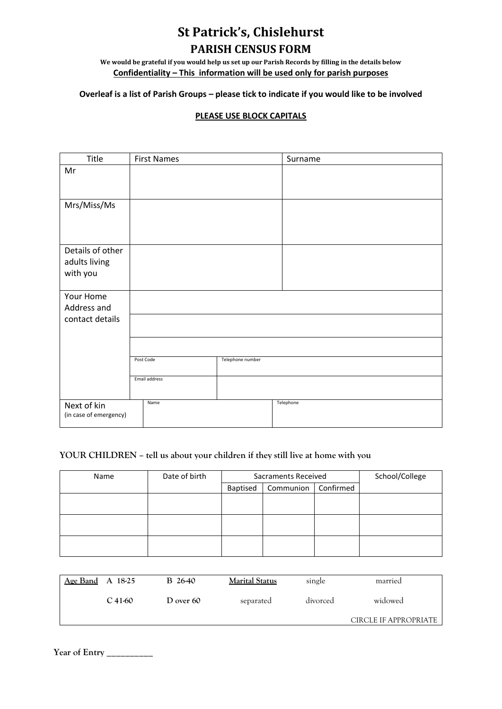## **St Patrick's, Chislehurst PARISH CENSUS FORM**

**We would be grateful if you would help us set up our Parish Records by filling in the details below Confidentiality – This information will be used only for parish purposes**

## **Overleaf is a list of Parish Groups – please tick to indicate if you would like to be involved**

## **PLEASE USE BLOCK CAPITALS**

| Title                    | <b>First Names</b> |                  | Surname   |  |
|--------------------------|--------------------|------------------|-----------|--|
| Mr                       |                    |                  |           |  |
|                          |                    |                  |           |  |
| Mrs/Miss/Ms              |                    |                  |           |  |
|                          |                    |                  |           |  |
|                          |                    |                  |           |  |
|                          |                    |                  |           |  |
| Details of other         |                    |                  |           |  |
| adults living            |                    |                  |           |  |
| with you                 |                    |                  |           |  |
|                          |                    |                  |           |  |
| Your Home<br>Address and |                    |                  |           |  |
| contact details          |                    |                  |           |  |
|                          |                    |                  |           |  |
|                          |                    |                  |           |  |
|                          | Post Code          | Telephone number |           |  |
|                          |                    |                  |           |  |
|                          | Email address      |                  |           |  |
|                          |                    |                  |           |  |
| Next of kin              | Name               |                  | Telephone |  |
| (in case of emergency)   |                    |                  |           |  |

## **YOUR CHILDREN – tell us about your children if they still live at home with you**

| Name | Date of birth | Sacraments Received |           |           | School/College |
|------|---------------|---------------------|-----------|-----------|----------------|
|      |               | Baptised            | Communion | Confirmed |                |
|      |               |                     |           |           |                |
|      |               |                     |           |           |                |
|      |               |                     |           |           |                |
|      |               |                     |           |           |                |
|      |               |                     |           |           |                |
|      |               |                     |           |           |                |

| Age Band A $18-25$ |           | B 26-40     | <b>Marital Status</b> | single   | married               |
|--------------------|-----------|-------------|-----------------------|----------|-----------------------|
|                    | $C$ 41-60 | D over $60$ | separated             | divorced | widowed               |
|                    |           |             |                       |          | CIRCLE IF APPROPRIATE |

**Year of Entry \_\_\_\_\_\_\_\_\_\_**